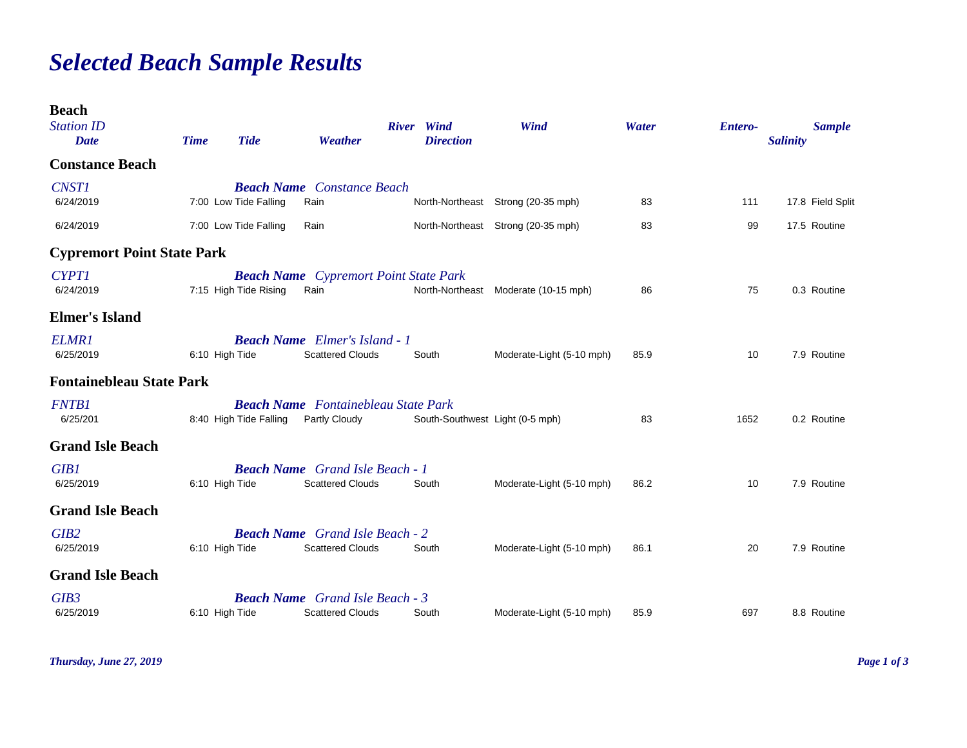## *Selected Beach Sample Results*

| <b>Beach</b><br><b>Station ID</b><br><b>Date</b> | <b>Time</b>    | <b>Tide</b>            | Weather                                                           | River Wind<br><b>Direction</b>  | Wind                               | Water | <b>Entero-</b> | <b>Salinity</b> | <b>Sample</b>    |
|--------------------------------------------------|----------------|------------------------|-------------------------------------------------------------------|---------------------------------|------------------------------------|-------|----------------|-----------------|------------------|
| <b>Constance Beach</b>                           |                |                        |                                                                   |                                 |                                    |       |                |                 |                  |
| <b>CNST1</b><br>6/24/2019                        |                | 7:00 Low Tide Falling  | <b>Beach Name</b> Constance Beach<br>Rain                         |                                 | North-Northeast Strong (20-35 mph) | 83    | 111            |                 | 17.8 Field Split |
| 6/24/2019                                        |                | 7:00 Low Tide Falling  | Rain                                                              |                                 | North-Northeast Strong (20-35 mph) | 83    | 99             |                 | 17.5 Routine     |
| <b>Cypremort Point State Park</b>                |                |                        |                                                                   |                                 |                                    |       |                |                 |                  |
| <b>CYPT1</b><br>6/24/2019                        |                | 7:15 High Tide Rising  | <b>Beach Name</b> Cypremort Point State Park<br>Rain              | North-Northeast                 | Moderate (10-15 mph)               | 86    | 75             |                 | 0.3 Routine      |
| <b>Elmer's Island</b>                            |                |                        |                                                                   |                                 |                                    |       |                |                 |                  |
| <b>ELMR1</b><br>6/25/2019                        | 6:10 High Tide |                        | <b>Beach Name</b> Elmer's Island - 1<br><b>Scattered Clouds</b>   | South                           | Moderate-Light (5-10 mph)          | 85.9  | 10             |                 | 7.9 Routine      |
| <b>Fontainebleau State Park</b>                  |                |                        |                                                                   |                                 |                                    |       |                |                 |                  |
| <b>FNTB1</b><br>6/25/201                         |                | 8:40 High Tide Falling | <b>Beach Name</b> Fontainebleau State Park<br>Partly Cloudy       | South-Southwest Light (0-5 mph) |                                    | 83    | 1652           |                 | 0.2 Routine      |
| <b>Grand Isle Beach</b>                          |                |                        |                                                                   |                                 |                                    |       |                |                 |                  |
| <b>GIB1</b><br>6/25/2019                         | 6:10 High Tide |                        | <b>Beach Name</b> Grand Isle Beach - 1<br><b>Scattered Clouds</b> | South                           | Moderate-Light (5-10 mph)          | 86.2  | 10             |                 | 7.9 Routine      |
| <b>Grand Isle Beach</b>                          |                |                        |                                                                   |                                 |                                    |       |                |                 |                  |
| GIB <sub>2</sub><br>6/25/2019                    | 6:10 High Tide |                        | <b>Beach Name</b> Grand Isle Beach - 2<br><b>Scattered Clouds</b> | South                           | Moderate-Light (5-10 mph)          | 86.1  | 20             |                 | 7.9 Routine      |
| <b>Grand Isle Beach</b>                          |                |                        |                                                                   |                                 |                                    |       |                |                 |                  |
| GIB3<br>6/25/2019                                | 6:10 High Tide |                        | <b>Beach Name</b> Grand Isle Beach - 3<br><b>Scattered Clouds</b> | South                           | Moderate-Light (5-10 mph)          | 85.9  | 697            |                 | 8.8 Routine      |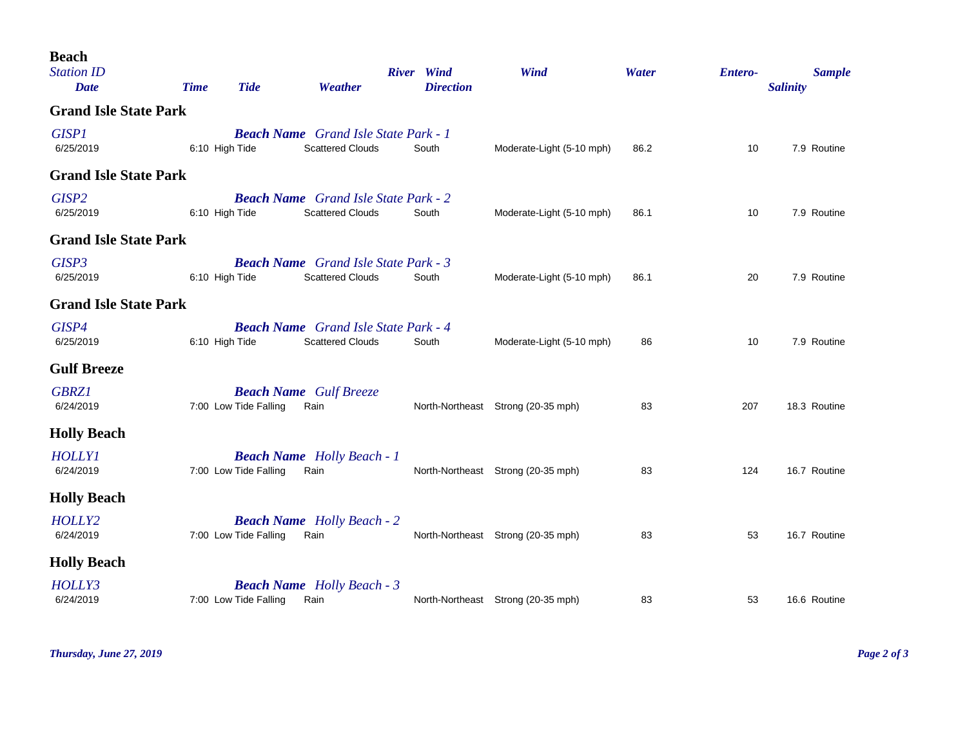| <b>Beach</b><br><b>Station ID</b><br><b>Date</b> | <b>Time</b> | <b>Tide</b>           | Weather                                                                | River Wind<br><b>Direction</b> | Wind                               | Water | <b>Entero-</b> | <b>Sample</b><br><b>Salinity</b> |
|--------------------------------------------------|-------------|-----------------------|------------------------------------------------------------------------|--------------------------------|------------------------------------|-------|----------------|----------------------------------|
| <b>Grand Isle State Park</b>                     |             |                       |                                                                        |                                |                                    |       |                |                                  |
| <b>GISP1</b><br>6/25/2019                        |             | 6:10 High Tide        | <b>Beach Name</b> Grand Isle State Park - 1<br><b>Scattered Clouds</b> | South                          | Moderate-Light (5-10 mph)          | 86.2  | 10             | 7.9 Routine                      |
| <b>Grand Isle State Park</b>                     |             |                       |                                                                        |                                |                                    |       |                |                                  |
| GISP <sub>2</sub><br>6/25/2019                   |             | 6:10 High Tide        | <b>Beach Name</b> Grand Isle State Park - 2<br><b>Scattered Clouds</b> | South                          | Moderate-Light (5-10 mph)          | 86.1  | 10             | 7.9 Routine                      |
| <b>Grand Isle State Park</b>                     |             |                       |                                                                        |                                |                                    |       |                |                                  |
| GISP3<br>6/25/2019                               |             | 6:10 High Tide        | <b>Beach Name</b> Grand Isle State Park - 3<br><b>Scattered Clouds</b> | South                          | Moderate-Light (5-10 mph)          | 86.1  | 20             | 7.9 Routine                      |
| <b>Grand Isle State Park</b>                     |             |                       |                                                                        |                                |                                    |       |                |                                  |
| GISP4<br>6/25/2019                               |             | 6:10 High Tide        | <b>Beach Name</b> Grand Isle State Park - 4<br><b>Scattered Clouds</b> | South                          | Moderate-Light (5-10 mph)          | 86    | 10             | 7.9 Routine                      |
| <b>Gulf Breeze</b>                               |             |                       |                                                                        |                                |                                    |       |                |                                  |
| <b>GBRZ1</b><br>6/24/2019                        |             | 7:00 Low Tide Falling | <b>Beach Name</b> Gulf Breeze<br>Rain                                  |                                | North-Northeast Strong (20-35 mph) | 83    | 207            | 18.3 Routine                     |
| <b>Holly Beach</b>                               |             |                       |                                                                        |                                |                                    |       |                |                                  |
| <b>HOLLY1</b><br>6/24/2019                       |             | 7:00 Low Tide Falling | <b>Beach Name</b> Holly Beach - 1<br>Rain                              |                                | North-Northeast Strong (20-35 mph) | 83    | 124            | 16.7 Routine                     |
| <b>Holly Beach</b>                               |             |                       |                                                                        |                                |                                    |       |                |                                  |
| HOLLY2<br>6/24/2019                              |             | 7:00 Low Tide Falling | <b>Beach Name</b> Holly Beach - 2<br>Rain                              |                                | North-Northeast Strong (20-35 mph) | 83    | 53             | 16.7 Routine                     |
| <b>Holly Beach</b>                               |             |                       |                                                                        |                                |                                    |       |                |                                  |
| HOLLY3<br>6/24/2019                              |             | 7:00 Low Tide Falling | <b>Beach Name</b> Holly Beach - 3<br>Rain                              |                                | North-Northeast Strong (20-35 mph) | 83    | 53             | 16.6 Routine                     |